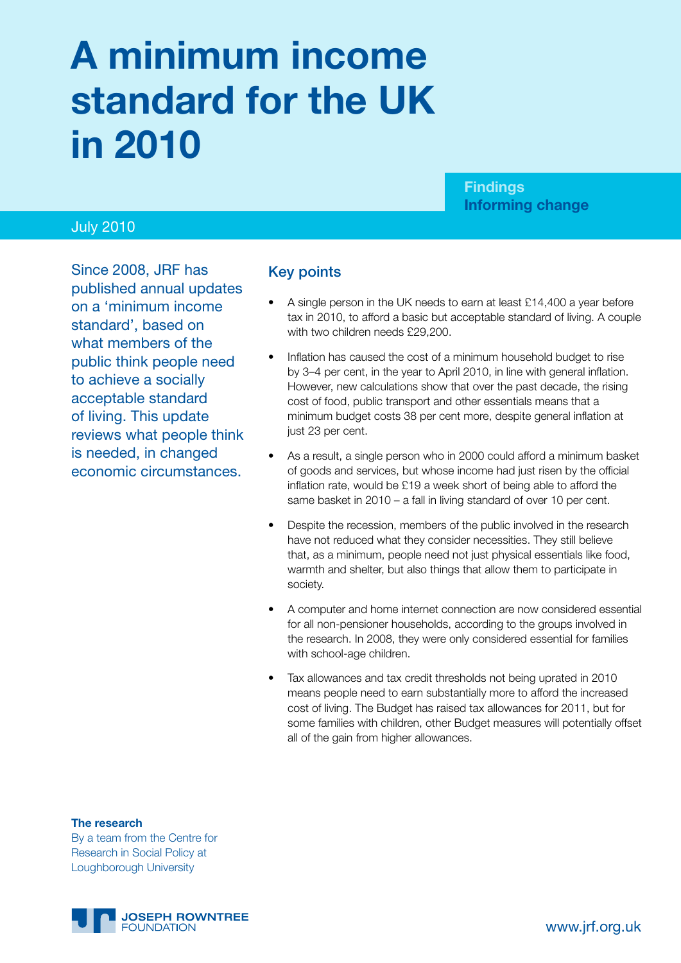# **A minimum income standard for the UK in 2010**

#### **Findings Informing change**

#### July 2010

Since 2008, JRF has published annual updates on a 'minimum income standard', based on what members of the public think people need to achieve a socially acceptable standard of living. This update reviews what people think is needed, in changed economic circumstances.

#### Key points

- A single person in the UK needs to earn at least  $£14,400$  a year before tax in 2010, to afford a basic but acceptable standard of living. A couple with two children needs £29,200.
- Inflation has caused the cost of a minimum household budget to rise by 3–4 per cent, in the year to April 2010, in line with general inflation. However, new calculations show that over the past decade, the rising cost of food, public transport and other essentials means that a minimum budget costs 38 per cent more, despite general inflation at just 23 per cent.
- As a result, a single person who in 2000 could afford a minimum basket of goods and services, but whose income had just risen by the official inflation rate, would be £19 a week short of being able to afford the same basket in 2010 – a fall in living standard of over 10 per cent.
- Despite the recession, members of the public involved in the research have not reduced what they consider necessities. They still believe that, as a minimum, people need not just physical essentials like food, warmth and shelter, but also things that allow them to participate in society.
- A computer and home internet connection are now considered essential for all non-pensioner households, according to the groups involved in the research. In 2008, they were only considered essential for families with school-age children.
- Tax allowances and tax credit thresholds not being uprated in 2010 means people need to earn substantially more to afford the increased cost of living. The Budget has raised tax allowances for 2011, but for some families with children, other Budget measures will potentially offset all of the gain from higher allowances.

**The research**

By a team from the Centre for Research in Social Policy at Loughborough University

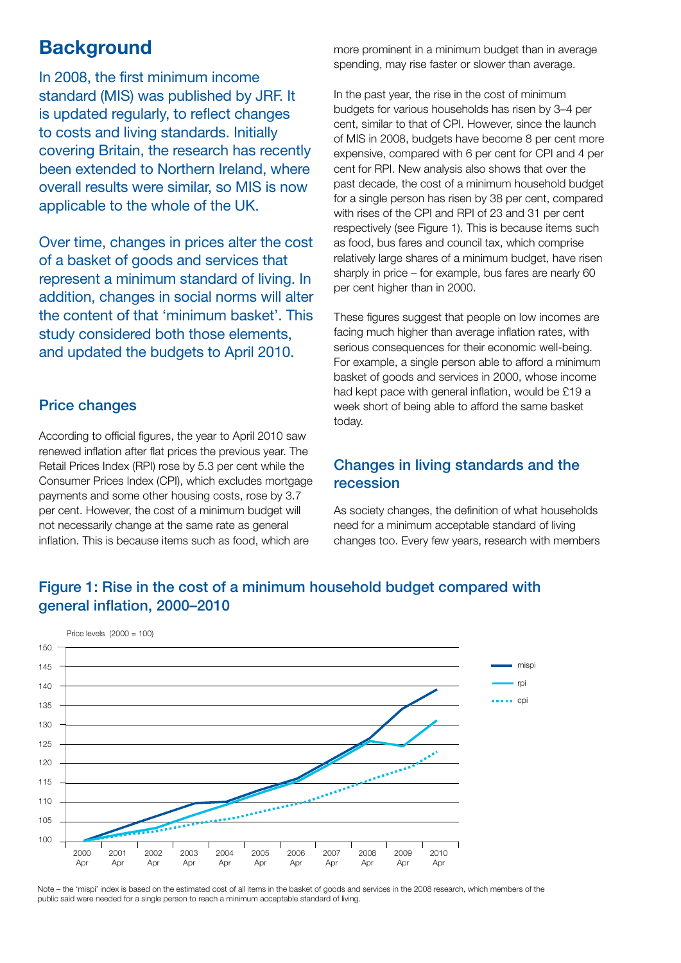## **Background**

In 2008, the first minimum income standard (MIS) was published by JRF. It is updated regularly, to reflect changes to costs and living standards. Initially covering Britain, the research has recently been extended to Northern Ireland, where overall results were similar, so MIS is now applicable to the whole of the UK.

Over time, changes in prices alter the cost of a basket of goods and services that represent a minimum standard of living. In addition, changes in social norms will alter the content of that 'minimum basket'. This study considered both those elements. and updated the budgets to April 2010.

#### Price changes

According to official figures, the year to April 2010 saw renewed inflation after flat prices the previous year. The Retail Prices Index (RPI) rose by 5.3 per cent while the Consumer Prices Index (CPI), which excludes mortgage payments and some other housing costs, rose by 3.7 per cent. However, the cost of a minimum budget will not necessarily change at the same rate as general inflation. This is because items such as food, which are

more prominent in a minimum budget than in average spending, may rise faster or slower than average.

In the past year, the rise in the cost of minimum budgets for various households has risen by 3–4 per cent, similar to that of CPI. However, since the launch of MIS in 2008, budgets have become 8 per cent more expensive, compared with 6 per cent for CPI and 4 per cent for RPI. New analysis also shows that over the past decade, the cost of a minimum household budget for a single person has risen by 38 per cent, compared with rises of the CPI and RPI of 23 and 31 per cent respectively (see Figure 1). This is because items such as food, bus fares and council tax, which comprise relatively large shares of a minimum budget, have risen sharply in price – for example, bus fares are nearly 60 per cent higher than in 2000.

These figures suggest that people on low incomes are facing much higher than average inflation rates, with serious consequences for their economic well-being. For example, a single person able to afford a minimum basket of goods and services in 2000, whose income had kept pace with general inflation, would be £19 a week short of being able to afford the same basket today.

#### Changes in living standards and the recession

As society changes, the definition of what households need for a minimum acceptable standard of living changes too. Every few years, research with members

#### Figure 1: Rise in the cost of a minimum household budget compared with general inflation, 2000–2010



Note – the 'mispi' index is based on the estimated cost of all items in the basket of goods and services in the 2008 research, which members of the public said were needed for a single person to reach a minimum acceptable standard of living.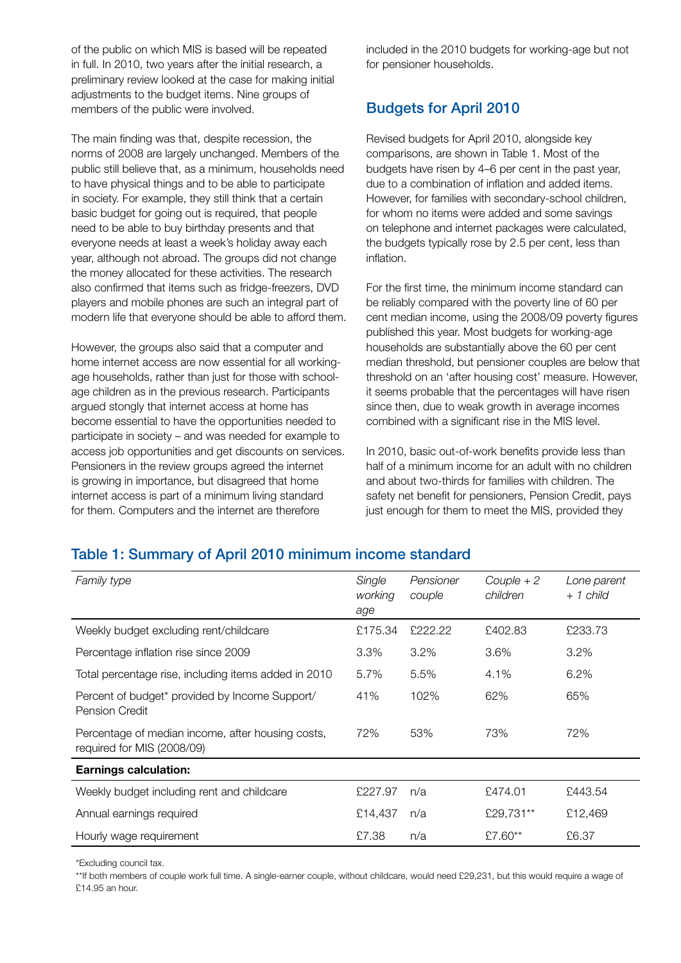of the public on which MIS is based will be repeated in full. In 2010, two years after the initial research, a preliminary review looked at the case for making initial adjustments to the budget items. Nine groups of members of the public were involved.

The main finding was that, despite recession, the norms of 2008 are largely unchanged. Members of the public still believe that, as a minimum, households need to have physical things and to be able to participate in society. For example, they still think that a certain basic budget for going out is required, that people need to be able to buy birthday presents and that everyone needs at least a week's holiday away each year, although not abroad. The groups did not change the money allocated for these activities. The research also confirmed that items such as fridge-freezers, DVD players and mobile phones are such an integral part of modern life that everyone should be able to afford them.

However, the groups also said that a computer and home internet access are now essential for all workingage households, rather than just for those with schoolage children as in the previous research. Participants argued stongly that internet access at home has become essential to have the opportunities needed to participate in society – and was needed for example to access job opportunities and get discounts on services. Pensioners in the review groups agreed the internet is growing in importance, but disagreed that home internet access is part of a minimum living standard for them. Computers and the internet are therefore

included in the 2010 budgets for working-age but not for pensioner households.

#### Budgets for April 2010

Revised budgets for April 2010, alongside key comparisons, are shown in Table 1. Most of the budgets have risen by 4–6 per cent in the past year, due to a combination of inflation and added items. However, for families with secondary-school children, for whom no items were added and some savings on telephone and internet packages were calculated, the budgets typically rose by 2.5 per cent, less than inflation.

For the first time, the minimum income standard can be reliably compared with the poverty line of 60 per cent median income, using the 2008/09 poverty figures published this year. Most budgets for working-age households are substantially above the 60 per cent median threshold, but pensioner couples are below that threshold on an 'after housing cost' measure. However, it seems probable that the percentages will have risen since then, due to weak growth in average incomes combined with a significant rise in the MIS level.

In 2010, basic out-of-work benefits provide less than half of a minimum income for an adult with no children and about two-thirds for families with children. The safety net benefit for pensioners, Pension Credit, pays just enough for them to meet the MIS, provided they

#### Table 1: Summary of April 2010 minimum income standard

| Family type                                                                     | Single<br>working<br>age | Pensioner<br>couple | $Couple + 2$<br>children | Lone parent<br>$+ 1$ child |
|---------------------------------------------------------------------------------|--------------------------|---------------------|--------------------------|----------------------------|
| Weekly budget excluding rent/childcare                                          | £175.34                  | £222.22             | £402.83                  | £233.73                    |
| Percentage inflation rise since 2009                                            | 3.3%                     | 3.2%                | 3.6%                     | 3.2%                       |
| Total percentage rise, including items added in 2010                            | 5.7%                     | 5.5%                | 4.1%                     | 6.2%                       |
| Percent of budget* provided by Income Support/<br>Pension Credit                | 41%                      | 102%                | 62%                      | 65%                        |
| Percentage of median income, after housing costs,<br>required for MIS (2008/09) | 72%                      | 53%                 | 73%                      | 72%                        |
| <b>Earnings calculation:</b>                                                    |                          |                     |                          |                            |
| Weekly budget including rent and childcare                                      | £227.97                  | n/a                 | £474.01                  | £443.54                    |
| Annual earnings required                                                        | £14,437                  | n/a                 | £29,731**                | £12,469                    |
| Hourly wage requirement                                                         | £7.38                    | n/a                 | £7.60**                  | £6.37                      |

\*Excluding council tax.

\*\*If both members of couple work full time. A single-earner couple, without childcare, would need £29,231, but this would require a wage of £14.95 an hour.